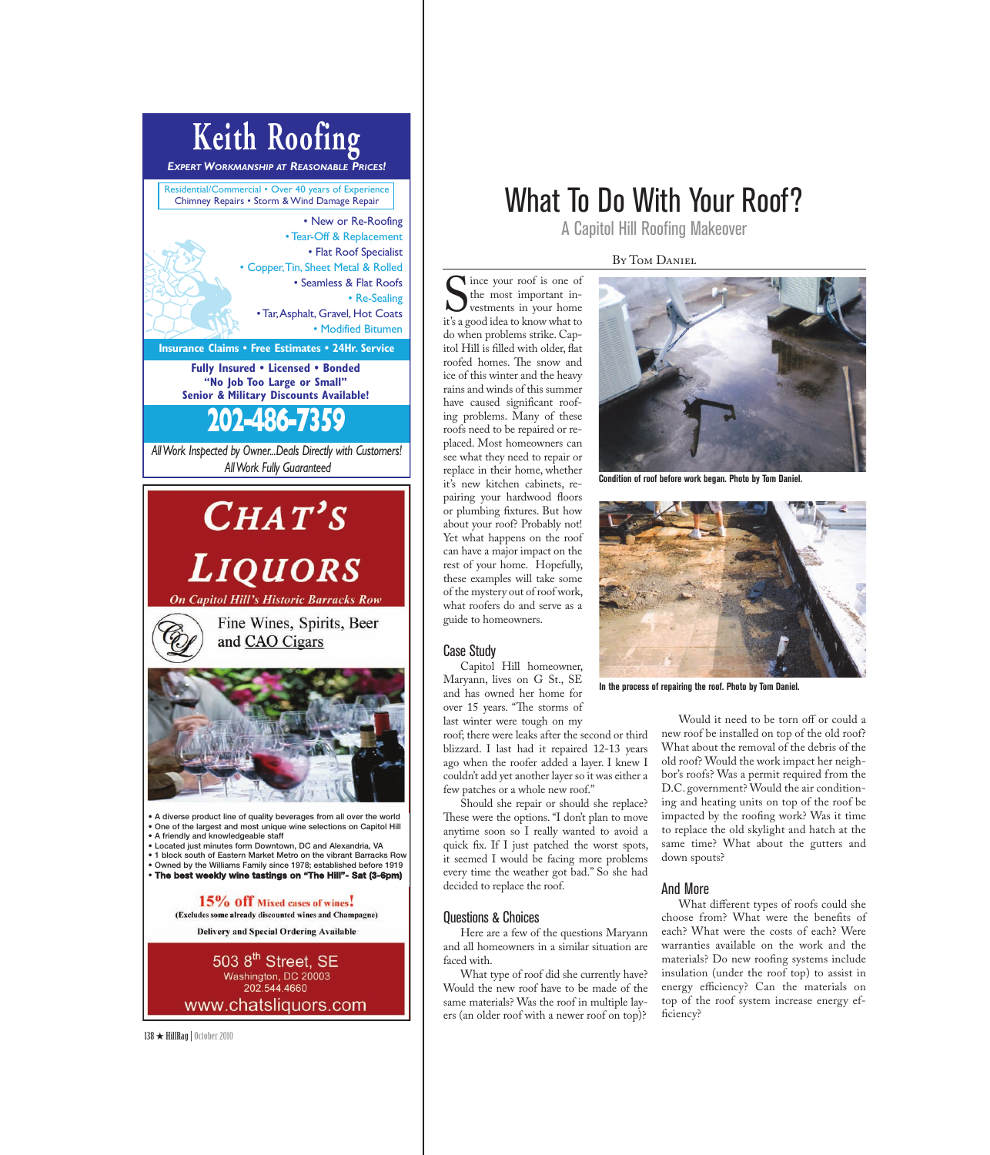# **Keith Roofing**

*EXPERT WORKMANSHIP AT REASONABLE PRICES!*

Residential/Commercial • Over 40 years of Experience Chimney Repairs • Storm & Wind Damage Repair • New or Re-Roofing

• Tear-Off & Replacement • Flat Roof Specialist • Copper, Tin, Sheet Metal & Rolled • Seamless & Flat Roofs • Re-Sealing • Tar, Asphalt, Gravel, Hot Coats • Modified Bitumen

**Insurance Claims • Free Estimates • 24Hr. Service**

**Fully Insured • Licensed • Bonded "No Job Too Large or Small" Senior & Military Discounts Available!**

*All Work Inspected by Owner...Deals Directly with Customers!*  **202-486-7359**

*All Work Fully Guaranteed*

# $CHAT'S$ **LIQUORS**

**On Capitol Hill's Historic Barracks Row** 

Fine Wines, Spirits, Beer and CAO Cigars



**• A diverse product line of quality beverages from all over the world • One of the largest and most unique wine selections on Capitol Hill • A friendly and knowledgeable staff**

**• Located just minutes form Downtown, DC and Alexandria, VA**

**• 1 block south of Eastern Market Metro on the vibrant Barracks Row • Owned by the Williams Family since 1978; established before 1919 • The best weekly wine tastings on "The Hill"- Sat (3-6pm)**

> 15% Off Mixed cases of wines. (Excludes some already discounted wines and Champagne)

**Delivery and Special Ordering Available** 

503 8<sup>th</sup> Street, SE<br>Washington, DC 20003 202.544.4660 www.chatsliquors.com

138 ★ HillRag|October 2010

## What To Do With Your Roof?

A Capitol Hill Roofing Makeover

BY TOM DANIEL

Since your roof is one of<br>the most important in-<br>it's a good idea to know what to Ince your roof is one of the most important investments in your home do when problems strike. Capitol Hill is filled with older, flat roofed homes. The snow and ice of this winter and the heavy rains and winds of this summer have caused significant roofing problems. Many of these roofs need to be repaired or replaced. Most homeowners can see what they need to repair or replace in their home, whether it's new kitchen cabinets, repairing your hardwood floors or plumbing fixtures. But how about your roof? Probably not! Yet what happens on the roof can have a major impact on the rest of your home. Hopefully, these examples will take some of the mystery out of roof work, what roofers do and serve as a guide to homeowners.

### Case Study

Capitol Hill homeowner, Maryann, lives on G St., SE and has owned her home for over 15 years. "The storms of last winter were tough on my

roof; there were leaks after the second or third blizzard. I last had it repaired 12-13 years ago when the roofer added a layer. I knew I couldn't add yet another layer so it was either a few patches or a whole new roof."

Should she repair or should she replace? These were the options. "I don't plan to move anytime soon so I really wanted to avoid a quick fix. If I just patched the worst spots, it seemed I would be facing more problems every time the weather got bad." So she had decided to replace the roof.

#### Questions & Choices

Here are a few of the questions Maryann and all homeowners in a similar situation are faced with.

What type of roof did she currently have? Would the new roof have to be made of the same materials? Was the roof in multiple layers (an older roof with a newer roof on top)?



**Condition of roof before work began. Photo by Tom Daniel.**



**In the process of repairing the roof. Photo by Tom Daniel.**

Would it need to be torn off or could a new roof be installed on top of the old roof? What about the removal of the debris of the old roof? Would the work impact her neighbor's roofs? Was a permit required from the D.C. government? Would the air conditioning and heating units on top of the roof be impacted by the roofing work? Was it time to replace the old skylight and hatch at the same time? What about the gutters and down spouts?

### And More

What different types of roofs could she choose from? What were the benefits of each? What were the costs of each? Were warranties available on the work and the materials? Do new roofing systems include insulation (under the roof top) to assist in energy efficiency? Can the materials on top of the roof system increase energy efficiency?